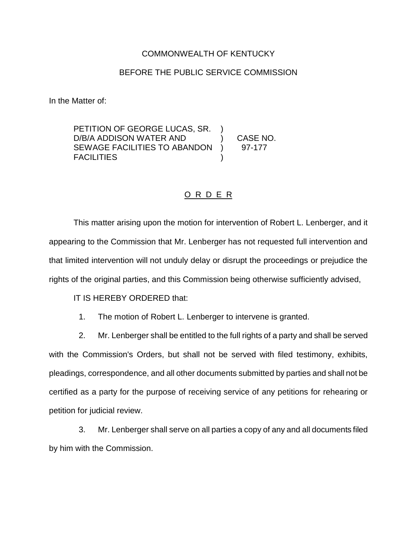## COMMONWEALTH OF KENTUCKY

## BEFORE THE PUBLIC SERVICE COMMISSION

In the Matter of:

PETITION OF GEORGE LUCAS, SR. D/B/A ADDISON WATER AND (CASE NO. SEWAGE FACILITIES TO ABANDON ) 97-177 **FACILITIES** 

## O R D E R

This matter arising upon the motion for intervention of Robert L. Lenberger, and it appearing to the Commission that Mr. Lenberger has not requested full intervention and that limited intervention will not unduly delay or disrupt the proceedings or prejudice the rights of the original parties, and this Commission being otherwise sufficiently advised,

IT IS HEREBY ORDERED that:

1. The motion of Robert L. Lenberger to intervene is granted.

2. Mr. Lenberger shall be entitled to the full rights of a party and shall be served with the Commission's Orders, but shall not be served with filed testimony, exhibits, pleadings, correspondence, and all other documents submitted by parties and shall not be certified as a party for the purpose of receiving service of any petitions for rehearing or petition for judicial review.

3. Mr. Lenberger shall serve on all parties a copy of any and all documents filed by him with the Commission.